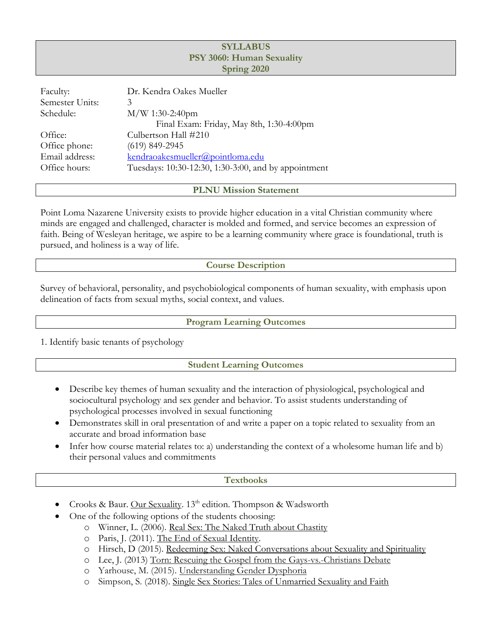## **SYLLABUS PSY 3060: Human Sexuality Spring 2020**

| Faculty:        | Dr. Kendra Oakes Mueller                             |
|-----------------|------------------------------------------------------|
| Semester Units: | 3                                                    |
| Schedule:       | $M/W$ 1:30-2:40pm                                    |
|                 | Final Exam: Friday, May 8th, 1:30-4:00pm             |
| Office:         | Culbertson Hall #210                                 |
| Office phone:   | $(619)$ 849-2945                                     |
| Email address:  | kendraoakesmueller@pointloma.edu                     |
| Office hours:   | Tuesdays: 10:30-12:30, 1:30-3:00, and by appointment |

### **PLNU Mission Statement**

Point Loma Nazarene University exists to provide higher education in a vital Christian community where minds are engaged and challenged, character is molded and formed, and service becomes an expression of faith. Being of Wesleyan heritage, we aspire to be a learning community where grace is foundational, truth is pursued, and holiness is a way of life.

### **Course Description**

Survey of behavioral, personality, and psychobiological components of human sexuality, with emphasis upon delineation of facts from sexual myths, social context, and values.

### **Program Learning Outcomes**

1. Identify basic tenants of psychology

### **Student Learning Outcomes**

- Describe key themes of human sexuality and the interaction of physiological, psychological and sociocultural psychology and sex gender and behavior. To assist students understanding of psychological processes involved in sexual functioning
- Demonstrates skill in oral presentation of and write a paper on a topic related to sexuality from an accurate and broad information base
- Infer how course material relates to: a) understanding the context of a wholesome human life and b) their personal values and commitments

### **Textbooks**

- Crooks & Baur. Our Sexuality. 13<sup>th</sup> edition. Thompson & Wadsworth
	- One of the following options of the students choosing:
		- o Winner, L. (2006). Real Sex: The Naked Truth about Chastity
			- o Paris, J. (2011). The End of Sexual Identity.
		- o Hirsch, D (2015). Redeeming Sex: Naked Conversations about Sexuality and Spirituality
		- o Lee, J. (2013) Torn: Rescuing the Gospel from the Gays-vs.-Christians Debate
		- o Yarhouse, M. (2015). Understanding Gender Dysphoria
		- o Simpson, S. (2018). Single Sex Stories: Tales of Unmarried Sexuality and Faith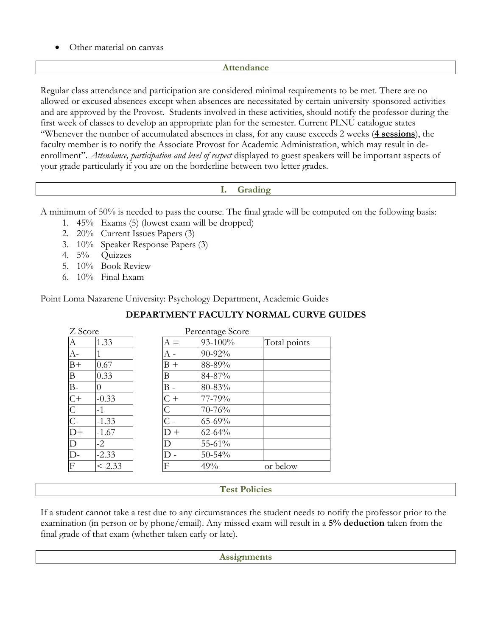Other material on canvas

## **Attendance**

Regular class attendance and participation are considered minimal requirements to be met. There are no allowed or excused absences except when absences are necessitated by certain university-sponsored activities and are approved by the Provost. Students involved in these activities, should notify the professor during the first week of classes to develop an appropriate plan for the semester. Current PLNU catalogue states "Whenever the number of accumulated absences in class, for any cause exceeds 2 weeks (**4 sessions**), the faculty member is to notify the Associate Provost for Academic Administration, which may result in deenrollment". *Attendance, participation and level of respect* displayed to guest speakers will be important aspects of your grade particularly if you are on the borderline between two letter grades.

## **I. Grading**

A minimum of 50% is needed to pass the course. The final grade will be computed on the following basis:

- 1. 45% Exams (5) (lowest exam will be dropped)
- 2. 20% Current Issues Papers (3)
- 3. 10% Speaker Response Papers (3)
- 4. 5% Quizzes
- 5. 10% Book Review
- 6. 10% Final Exam

Point Loma Nazarene University: Psychology Department, Academic Guides

| Z Score                   |                  |       | Percentage Score |              |
|---------------------------|------------------|-------|------------------|--------------|
| А                         | 1.33             | $A =$ | 93-100%          | Total points |
| $A-$                      |                  | А -   | 90-92%           |              |
| $B+$                      | 0.67             | $B +$ | 88-89%           |              |
| B                         | 0.33             | Β     | 84-87%           |              |
| $B-$                      | $\left( \right)$ | $B -$ | 80-83%           |              |
| $\overline{C}$            | $-0.33$          | $C +$ | 77-79%           |              |
| $\overline{C}$            | $-1$             | Ċ     | 70-76%           |              |
| $\overline{C}$            | $-1.33$          |       | 65-69%           |              |
| $D+$                      | $-1.67$          | $D +$ | $62 - 64%$       |              |
| D                         | $-2$             | D     | 55-61%           |              |
| $\overline{D}$            | $-2.33$          |       | $50 - 54%$       |              |
| $\boldsymbol{\mathrm{F}}$ | $< -2.33$        | F     | 49%              | or below     |

# **DEPARTMENT FACULTY NORMAL CURVE GUIDES**

## **Test Policies**

If a student cannot take a test due to any circumstances the student needs to notify the professor prior to the examination (in person or by phone/email). Any missed exam will result in a **5% deduction** taken from the final grade of that exam (whether taken early or late).

**Assignments**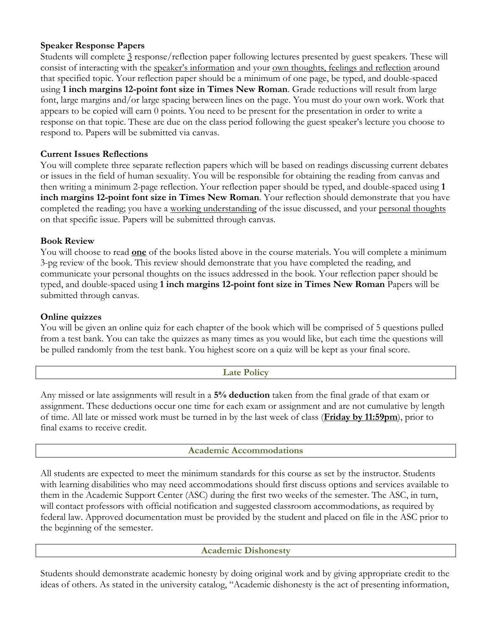## **Speaker Response Papers**

Students will complete 3 response/reflection paper following lectures presented by guest speakers. These will consist of interacting with the speaker's information and your own thoughts, feelings and reflection around that specified topic. Your reflection paper should be a minimum of one page, be typed, and double-spaced using **1 inch margins 12-point font size in Times New Roman**. Grade reductions will result from large font, large margins and/or large spacing between lines on the page. You must do your own work. Work that appears to be copied will earn 0 points. You need to be present for the presentation in order to write a response on that topic. These are due on the class period following the guest speaker's lecture you choose to respond to. Papers will be submitted via canvas.

## **Current Issues Reflections**

You will complete three separate reflection papers which will be based on readings discussing current debates or issues in the field of human sexuality. You will be responsible for obtaining the reading from canvas and then writing a minimum 2-page reflection. Your reflection paper should be typed, and double-spaced using **1 inch margins 12-point font size in Times New Roman**. Your reflection should demonstrate that you have completed the reading; you have a working understanding of the issue discussed, and your personal thoughts on that specific issue. Papers will be submitted through canvas.

### **Book Review**

You will choose to read **one** of the books listed above in the course materials. You will complete a minimum 3-pg review of the book. This review should demonstrate that you have completed the reading, and communicate your personal thoughts on the issues addressed in the book. Your reflection paper should be typed, and double-spaced using **1 inch margins 12-point font size in Times New Roman** Papers will be submitted through canvas.

### **Online quizzes**

You will be given an online quiz for each chapter of the book which will be comprised of 5 questions pulled from a test bank. You can take the quizzes as many times as you would like, but each time the questions will be pulled randomly from the test bank. You highest score on a quiz will be kept as your final score.

### **Late Policy**

Any missed or late assignments will result in a **5% deduction** taken from the final grade of that exam or assignment. These deductions occur one time for each exam or assignment and are not cumulative by length of time. All late or missed work must be turned in by the last week of class (**Friday by 11:59pm**), prior to final exams to receive credit.

### **Academic Accommodations**

All students are expected to meet the minimum standards for this course as set by the instructor. Students with learning disabilities who may need accommodations should first discuss options and services available to them in the Academic Support Center (ASC) during the first two weeks of the semester. The ASC, in turn, will contact professors with official notification and suggested classroom accommodations, as required by federal law. Approved documentation must be provided by the student and placed on file in the ASC prior to the beginning of the semester.

### **Academic Dishonesty**

Students should demonstrate academic honesty by doing original work and by giving appropriate credit to the ideas of others. As stated in the university catalog, "Academic dishonesty is the act of presenting information,